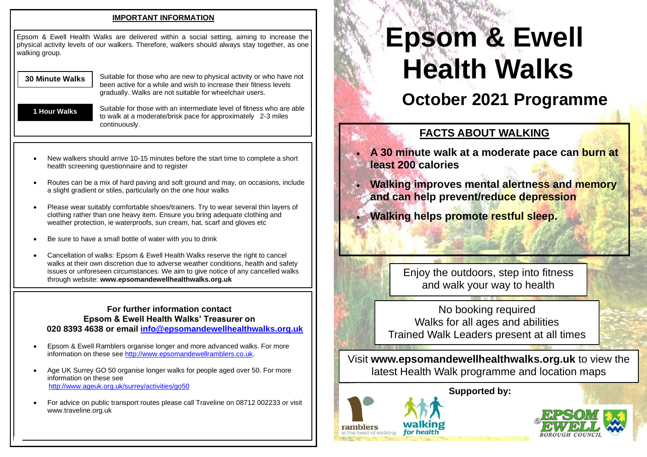### **IMPORTANT INFORMATION**

priysicai activit<br>walking group. Epsom & Ewell Health Walks are delivered within a social setting, aiming to increase the physical activity levels of our walkers. Therefore, walkers should always stay together, as one

#### **30 Minute Walks**

Suitable for those who are new to physical activity or who have not been active for a while and wish to increase their fitness levels gradually. Walks are not suitable for wheelchair users.

**1 Hour Walks**

 $\mathcal{F}(\mathcal{F})$ 

Suitable for those with an intermediate level of fitness who are able to walk at a moderate/brisk pace for approximately 2-3 miles continuously.

- New walkers should arrive 10-15 minutes before the start time to complete a short health screening questionnaire and to register
- Routes can be a mix of hard paving and soft ground and may, on occasions, include a slight gradient or stiles, particularly on the one hour walks
- Please wear suitably comfortable shoes/trainers. Try to wear several thin layers of clothing rather than one heavy item. Ensure you bring adequate clothing and weather protection, ie waterproofs, sun cream, hat, scarf and gloves etc
- Be sure to have a small bottle of water with you to drink
- Cancellation of walks: Epsom & Ewell Health Walks reserve the right to cancel walks at their own discretion due to adverse weather conditions, health and safety issues or unforeseen circumstances. We aim to give notice of any cancelled walks through website: **www.epsomandewellhealthwalks.org.uk**

### **For further information contact Epsom & Ewell Health Walks' Treasurer on 020 8393 4638 or email [info@epsomandewellhealthwalks.org.uk](mailto:info@epsomandewellhealthwalks.org.uk)**

- Epsom & Ewell Ramblers organise longer and more advanced walks. For more information on these see [http://www.epsomandewellramblers.co.uk.](http://www.epsomandewellramblers.co.uk/)
- Age UK Surrey GO 50 organise longer walks for people aged over 50. For more information on these see <http://www.ageuk.org.uk/surrey/activities/go50>
- For advice on public transport routes please call Traveline on 08712 002233 or visit www.traveline.org.uk

# **Epsom & Ewell Health Walks**

## **October 2021 Programme**

## **FACTS ABOUT WALKING**

- **A 30 minute walk at a moderate pace can burn at least 200 calories**
- **Walking improves mental alertness and memory and can help prevent/reduce depression**
	- **Walking helps promote restful sleep.**

Enjoy the outdoors, step into fitness and walk your way to health

No booking required Walks for all ages and abilities Trained Walk Leaders present at all times

Visit **www.epsomandewellhealthwalks.org.uk** to view the latest Health Walk programme and location maps

## **Supported by:**